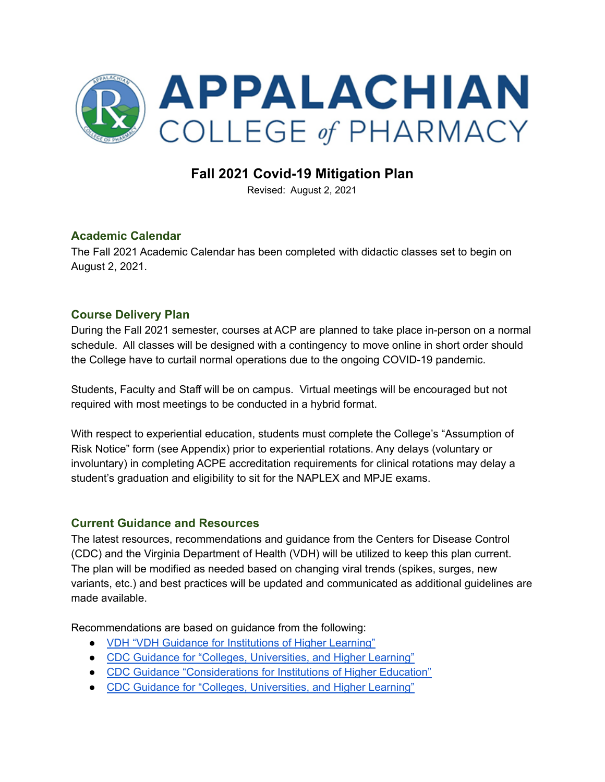

## **Fall 2021 Covid-19 Mitigation Plan**

Revised: August 2, 2021

#### **Academic Calendar**

The Fall 2021 Academic Calendar has been completed with didactic classes set to begin on August 2, 2021.

#### **Course Delivery Plan**

During the Fall 2021 semester, courses at ACP are planned to take place in-person on a normal schedule. All classes will be designed with a contingency to move online in short order should the College have to curtail normal operations due to the ongoing COVID-19 pandemic.

Students, Faculty and Staff will be on campus. Virtual meetings will be encouraged but not required with most meetings to be conducted in a hybrid format.

With respect to experiential education, students must complete the College's "Assumption of Risk Notice" form (see Appendix) prior to experiential rotations. Any delays (voluntary or involuntary) in completing ACPE accreditation requirements for clinical rotations may delay a student's graduation and eligibility to sit for the NAPLEX and MPJE exams.

#### **Current Guidance and Resources**

The latest resources, recommendations and guidance from the Centers for Disease Control (CDC) and the Virginia Department of Health (VDH) will be utilized to keep this plan current. The plan will be modified as needed based on changing viral trends (spikes, surges, new variants, etc.) and best practices will be updated and communicated as additional guidelines are made available.

Recommendations are based on guidance from the following:

- VDH "VDH Guidance for [Institutions](https://www.vdh.virginia.gov/coronavirus/schools-workplaces-community-locations/institutes-of-higher-education/) of Higher Learning"
- CDC Guidance for "Colleges, [Universities,](https://www.cdc.gov/coronavirus/2019-ncov/community/colleges-universities/index.html) and Higher Learning"
- CDC Guidance ["Considerations](https://www.cdc.gov/coronavirus/2019-ncov/community/colleges-universities/considerations.html) for Institutions of Higher Education"
- CDC Guidance for "Colleges, [Universities,](https://www.cdc.gov/coronavirus/2019-ncov/community/colleges-universities/index.html) and Higher Learning"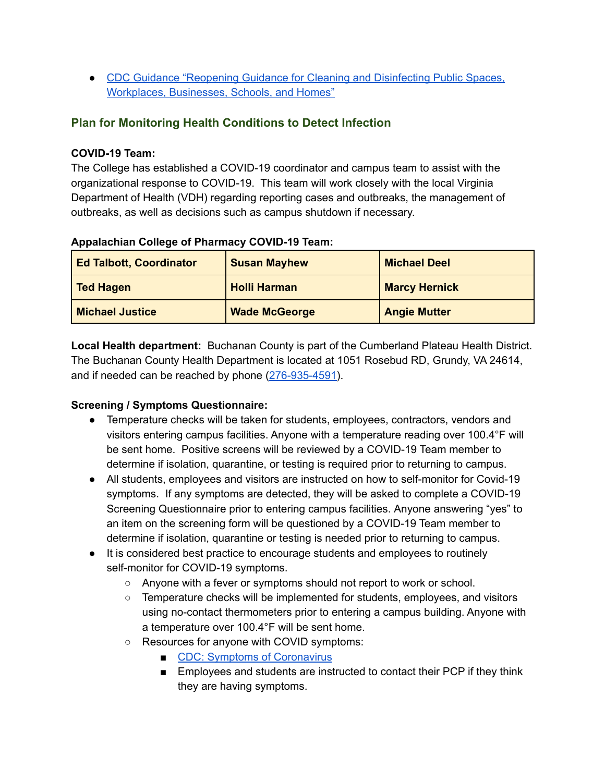● CDC Guidance ["Reopening](https://www.cdc.gov/coronavirus/2019-ncov/community/reopen-guidance.html) Guidance for Cleaning and Disinfecting Public Spaces, [Workplaces,](https://www.cdc.gov/coronavirus/2019-ncov/community/reopen-guidance.html) Businesses, Schools, and Homes"

## **Plan for Monitoring Health Conditions to Detect Infection**

#### **COVID-19 Team:**

The College has established a COVID-19 coordinator and campus team to assist with the organizational response to COVID-19. This team will work closely with the local Virginia Department of Health (VDH) regarding reporting cases and outbreaks, the management of outbreaks, as well as decisions such as campus shutdown if necessary.

| <b>Ed Talbott, Coordinator</b> | <b>Susan Mayhew</b>  | <b>Michael Deel</b>  |
|--------------------------------|----------------------|----------------------|
| <b>Ted Hagen</b>               | <b>Holli Harman</b>  | <b>Marcy Hernick</b> |
| <b>Michael Justice</b>         | <b>Wade McGeorge</b> | <b>Angie Mutter</b>  |

#### **Appalachian College of Pharmacy COVID-19 Team:**

**Local Health department:** Buchanan County is part of the Cumberland Plateau Health District. The Buchanan County Health Department is located at 1051 Rosebud RD, Grundy, VA 24614, and if needed can be reached by phone [\(276-935-4591\)](https://www.publichealthdepartments.us/details/buchanan_county_health_department_24614.html).

## **Screening / Symptoms Questionnaire:**

- Temperature checks will be taken for students, employees, contractors, vendors and visitors entering campus facilities. Anyone with a temperature reading over 100.4°F will be sent home. Positive screens will be reviewed by a COVID-19 Team member to determine if isolation, quarantine, or testing is required prior to returning to campus.
- All students, employees and visitors are instructed on how to self-monitor for Covid-19 symptoms. If any symptoms are detected, they will be asked to complete a COVID-19 Screening Questionnaire prior to entering campus facilities. Anyone answering "yes" to an item on the screening form will be questioned by a COVID-19 Team member to determine if isolation, quarantine or testing is needed prior to returning to campus.
- It is considered best practice to encourage students and employees to routinely self-monitor for COVID-19 symptoms.
	- Anyone with a fever or symptoms should not report to work or school.
	- Temperature checks will be implemented for students, employees, and visitors using no-contact thermometers prior to entering a campus building. Anyone with a temperature over 100.4°F will be sent home.
	- Resources for anyone with COVID symptoms:
		- CDC: Symptoms of [Coronavirus](https://www.cdc.gov/coronavirus/2019-ncov/symptoms-testing/symptoms.html)
		- Employees and students are instructed to contact their PCP if they think they are having symptoms.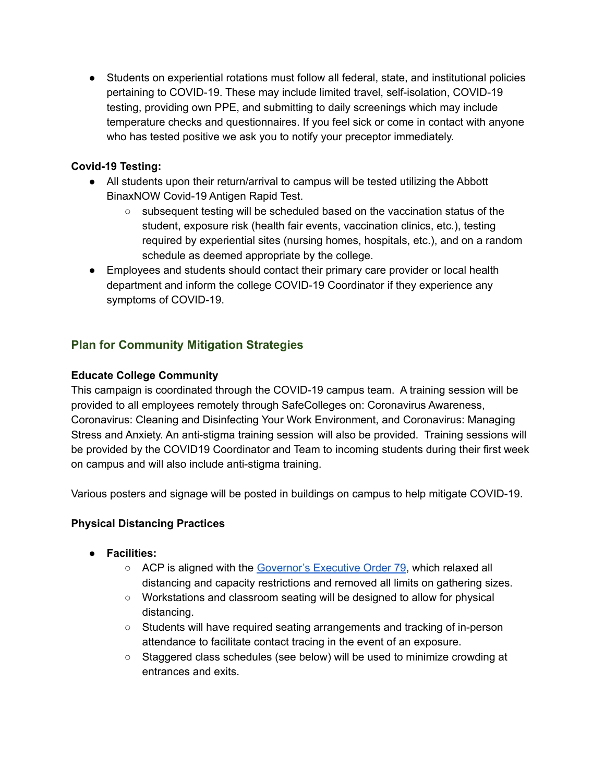● Students on experiential rotations must follow all federal, state, and institutional policies pertaining to COVID-19. These may include limited travel, self-isolation, COVID-19 testing, providing own PPE, and submitting to daily screenings which may include temperature checks and questionnaires. If you feel sick or come in contact with anyone who has tested positive we ask you to notify your preceptor immediately.

#### **Covid-19 Testing:**

- All students upon their return/arrival to campus will be tested utilizing the Abbott BinaxNOW Covid-19 Antigen Rapid Test.
	- $\circ$  subsequent testing will be scheduled based on the vaccination status of the student, exposure risk (health fair events, vaccination clinics, etc.), testing required by experiential sites (nursing homes, hospitals, etc.), and on a random schedule as deemed appropriate by the college.
- Employees and students should contact their primary care provider or local health department and inform the college COVID-19 Coordinator if they experience any symptoms of COVID-19.

## **Plan for Community Mitigation Strategies**

#### **Educate College Community**

This campaign is coordinated through the COVID-19 campus team. A training session will be provided to all employees remotely through SafeColleges on: Coronavirus Awareness, Coronavirus: Cleaning and Disinfecting Your Work Environment, and Coronavirus: Managing Stress and Anxiety. An anti-stigma training session will also be provided. Training sessions will be provided by the COVID19 Coordinator and Team to incoming students during their first week on campus and will also include anti-stigma training.

Various posters and signage will be posted in buildings on campus to help mitigate COVID-19.

## **Physical Distancing Practices**

- **● Facilities:**
	- ACP is aligned with the [Governor's](https://www.governor.virginia.gov/media/governorvirginiagov/executive-actions/EO-79-and-Order-of-Public-Health-Emergency-Ten-Ending-of-Commonsense-Public-Health-Restrictions-Due-to-Novel-Coronavirus-(COVID-19).pdf) Executive Order 79, which relaxed all distancing and capacity restrictions and removed all limits on gathering sizes.
	- Workstations and classroom seating will be designed to allow for physical distancing.
	- Students will have required seating arrangements and tracking of in-person attendance to facilitate contact tracing in the event of an exposure.
	- Staggered class schedules (see below) will be used to minimize crowding at entrances and exits.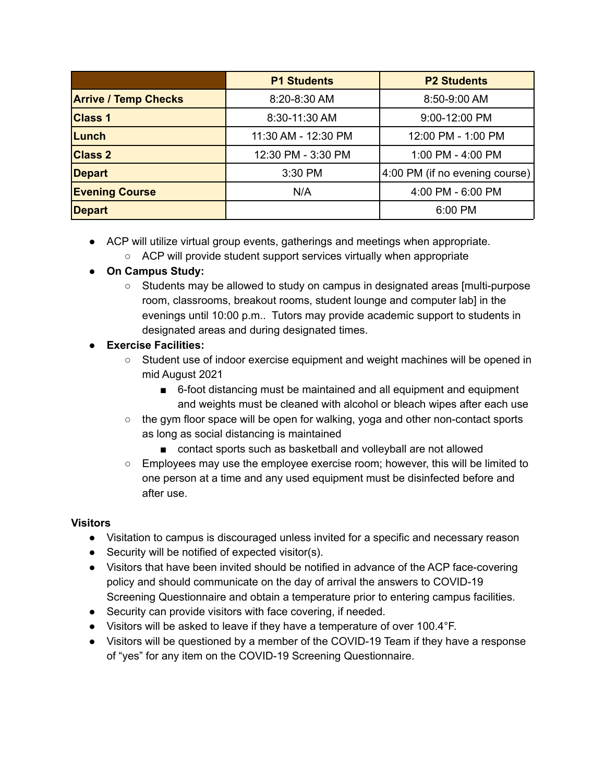|                             | <b>P1 Students</b>  | <b>P2 Students</b>                          |
|-----------------------------|---------------------|---------------------------------------------|
| <b>Arrive / Temp Checks</b> | 8:20-8:30 AM        | 8:50-9:00 AM                                |
| <b>Class 1</b>              | 8:30-11:30 AM       | 9:00-12:00 PM                               |
| Lunch                       | 11:30 AM - 12:30 PM | 12:00 PM - 1:00 PM                          |
| <b>Class 2</b>              | 12:30 PM - 3:30 PM  | 1:00 PM - 4:00 PM                           |
| <b>Depart</b>               | 3:30 PM             | $(4:00 \text{ PM (if no evening course)} )$ |
| <b>Evening Course</b>       | N/A                 | 4:00 PM - 6:00 PM                           |
| <b>Depart</b>               |                     | 6:00 PM                                     |

- ACP will utilize virtual group events, gatherings and meetings when appropriate.
	- ACP will provide student support services virtually when appropriate

## **● On Campus Study:**

○ Students may be allowed to study on campus in designated areas [multi-purpose room, classrooms, breakout rooms, student lounge and computer lab] in the evenings until 10:00 p.m.. Tutors may provide academic support to students in designated areas and during designated times.

## **● Exercise Facilities:**

- Student use of indoor exercise equipment and weight machines will be opened in mid August 2021
	- 6-foot distancing must be maintained and all equipment and equipment and weights must be cleaned with alcohol or bleach wipes after each use
- $\circ$  the gym floor space will be open for walking, yoga and other non-contact sports as long as social distancing is maintained
	- contact sports such as basketball and volleyball are not allowed
- $\circ$  Employees may use the employee exercise room; however, this will be limited to one person at a time and any used equipment must be disinfected before and after use.

#### **Visitors**

- Visitation to campus is discouraged unless invited for a specific and necessary reason
- Security will be notified of expected visitor(s).
- Visitors that have been invited should be notified in advance of the ACP face-covering policy and should communicate on the day of arrival the answers to COVID-19 Screening Questionnaire and obtain a temperature prior to entering campus facilities.
- Security can provide visitors with face covering, if needed.
- Visitors will be asked to leave if they have a temperature of over 100.4°F.
- Visitors will be questioned by a member of the COVID-19 Team if they have a response of "yes" for any item on the COVID-19 Screening Questionnaire.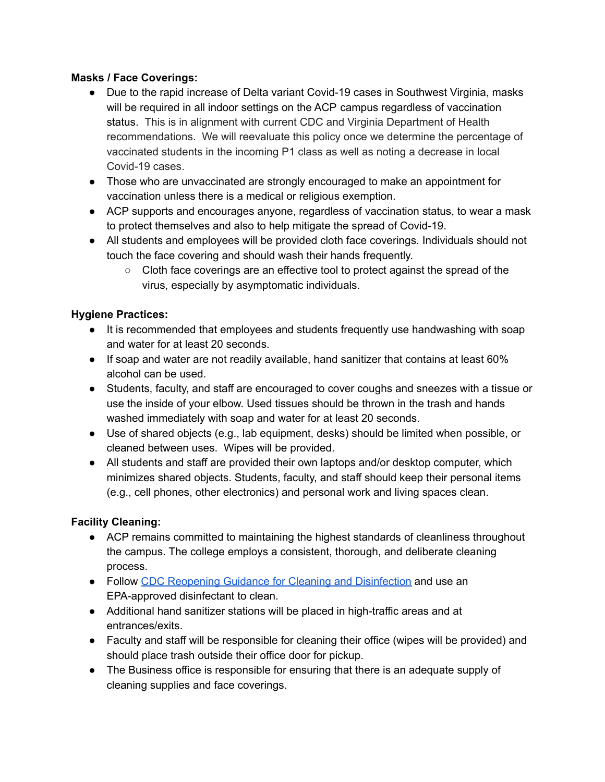#### **Masks / Face Coverings:**

- Due to the rapid increase of Delta variant Covid-19 cases in Southwest Virginia, masks will be required in all indoor settings on the ACP campus regardless of vaccination status. This is in alignment with current CDC and Virginia Department of Health recommendations. We will reevaluate this policy once we determine the percentage of vaccinated students in the incoming P1 class as well as noting a decrease in local Covid-19 cases.
- Those who are unvaccinated are strongly encouraged to make an appointment for vaccination unless there is a medical or religious exemption.
- ACP supports and encourages anyone, regardless of vaccination status, to wear a mask to protect themselves and also to help mitigate the spread of Covid-19.
- All students and employees will be provided cloth face coverings. Individuals should not touch the face covering and should wash their hands frequently.
	- Cloth face coverings are an effective tool to protect against the spread of the virus, especially by asymptomatic individuals.

#### **Hygiene Practices:**

- It is recommended that employees and students frequently use handwashing with soap and water for at least 20 seconds.
- If soap and water are not readily available, hand sanitizer that contains at least 60% alcohol can be used.
- Students, faculty, and staff are encouraged to cover coughs and sneezes with a tissue or use the inside of your elbow. Used tissues should be thrown in the trash and hands washed immediately with soap and water for at least 20 seconds.
- Use of shared objects (e.g., lab equipment, desks) should be limited when possible, or cleaned between uses. Wipes will be provided.
- All students and staff are provided their own laptops and/or desktop computer, which minimizes shared objects. Students, faculty, and staff should keep their personal items (e.g., cell phones, other electronics) and personal work and living spaces clean.

#### **Facility Cleaning:**

- ACP remains committed to maintaining the highest standards of cleanliness throughout the campus. The college employs a consistent, thorough, and deliberate cleaning process.
- Follow CDC Reopening Guidance for Cleaning and [Disinfection](https://www.cdc.gov/coronavirus/2019-ncov/community/reopen-guidance.html) and use an EPA-approved disinfectant to clean.
- Additional hand sanitizer stations will be placed in high-traffic areas and at entrances/exits.
- Faculty and staff will be responsible for cleaning their office (wipes will be provided) and should place trash outside their office door for pickup.
- The Business office is responsible for ensuring that there is an adequate supply of cleaning supplies and face coverings.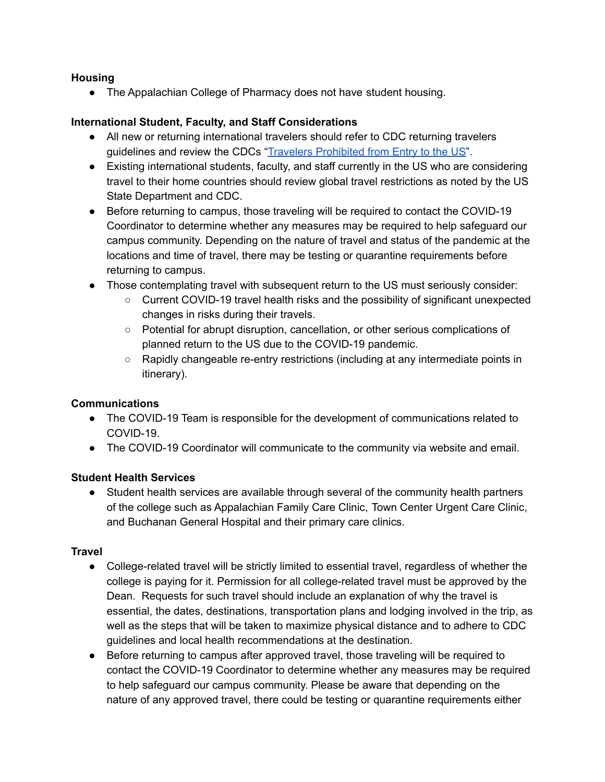#### **Housing**

• The Appalachian College of Pharmacy does not have student housing.

#### **International Student, Faculty, and Staff Considerations**

- All new or returning international travelers should refer to CDC returning travelers guidelines and review the CDCs "Travelers [Prohibited](https://www.cdc.gov/coronavirus/2019-ncov/travelers/from-other-countries.html) from Entry to the US".
- Existing international students, faculty, and staff currently in the US who are considering travel to their home countries should review global travel restrictions as noted by the US State Department and CDC.
- Before returning to campus, those traveling will be required to contact the COVID-19 Coordinator to determine whether any measures may be required to help safeguard our campus community. Depending on the nature of travel and status of the pandemic at the locations and time of travel, there may be testing or quarantine requirements before returning to campus.
- Those contemplating travel with subsequent return to the US must seriously consider:
	- Current COVID-19 travel health risks and the possibility of significant unexpected changes in risks during their travels.
	- Potential for abrupt disruption, cancellation, or other serious complications of planned return to the US due to the COVID-19 pandemic.
	- Rapidly changeable re-entry restrictions (including at any intermediate points in itinerary).

#### **Communications**

- The COVID-19 Team is responsible for the development of communications related to COVID-19.
- The COVID-19 Coordinator will communicate to the community via website and email.

#### **Student Health Services**

● Student health services are available through several of the community health partners of the college such as Appalachian Family Care Clinic, Town Center Urgent Care Clinic, and Buchanan General Hospital and their primary care clinics.

#### **Travel**

- College-related travel will be strictly limited to essential travel, regardless of whether the college is paying for it. Permission for all college-related travel must be approved by the Dean. Requests for such travel should include an explanation of why the travel is essential, the dates, destinations, transportation plans and lodging involved in the trip, as well as the steps that will be taken to maximize physical distance and to adhere to CDC guidelines and local health recommendations at the destination.
- Before returning to campus after approved travel, those traveling will be required to contact the COVID-19 Coordinator to determine whether any measures may be required to help safeguard our campus community. Please be aware that depending on the nature of any approved travel, there could be testing or quarantine requirements either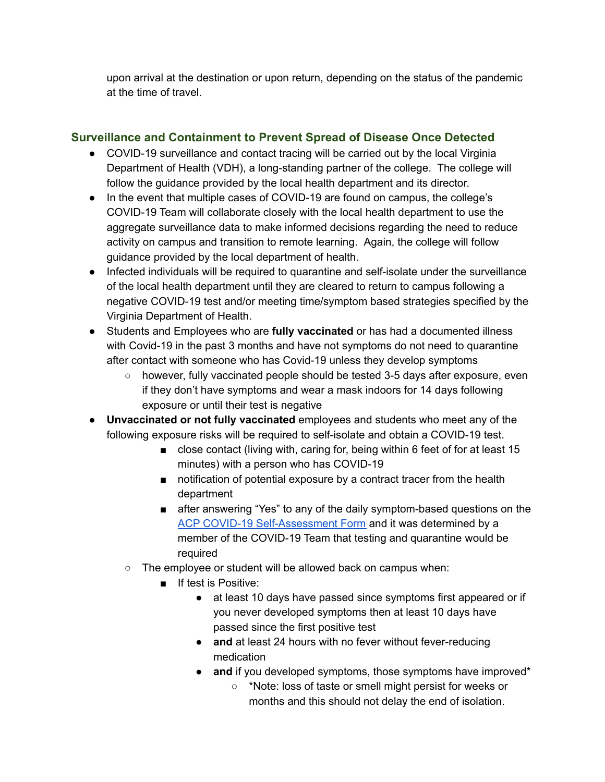upon arrival at the destination or upon return, depending on the status of the pandemic at the time of travel.

## **Surveillance and Containment to Prevent Spread of Disease Once Detected**

- COVID-19 surveillance and contact tracing will be carried out by the local Virginia Department of Health (VDH), a long-standing partner of the college. The college will follow the guidance provided by the local health department and its director.
- In the event that multiple cases of COVID-19 are found on campus, the college's COVID-19 Team will collaborate closely with the local health department to use the aggregate surveillance data to make informed decisions regarding the need to reduce activity on campus and transition to remote learning. Again, the college will follow guidance provided by the local department of health.
- Infected individuals will be required to quarantine and self-isolate under the surveillance of the local health department until they are cleared to return to campus following a negative COVID-19 test and/or meeting time/symptom based strategies specified by the Virginia Department of Health.
- Students and Employees who are **fully vaccinated** or has had a documented illness with Covid-19 in the past 3 months and have not symptoms do not need to quarantine after contact with someone who has Covid-19 unless they develop symptoms
	- however, fully vaccinated people should be tested 3-5 days after exposure, even if they don't have symptoms and wear a mask indoors for 14 days following exposure or until their test is negative
- **Unvaccinated or not fully vaccinated** employees and students who meet any of the following exposure risks will be required to self-isolate and obtain a COVID-19 test.
	- close contact (living with, caring for, being within 6 feet of for at least 15 minutes) with a person who has COVID-19
	- notification of potential exposure by a contract tracer from the health department
	- after answering "Yes" to any of the daily symptom-based questions on the ACP COVID-19 [Self-Assessment](https://docs.google.com/forms/d/e/1FAIpQLScfAa8M9qnCBxdMcnvvBD3IsN-rPdh0s8953ldnjppNF3BFeA/viewform) Form and it was determined by a member of the COVID-19 Team that testing and quarantine would be required
	- The employee or student will be allowed back on campus when:
		- If test is Positive:
			- at least 10 days have passed since symptoms first appeared or if you never developed symptoms then at least 10 days have passed since the first positive test
			- **and** at least 24 hours with no fever without fever-reducing medication
			- **and** if you developed symptoms, those symptoms have improved\*
				- \*Note: loss of taste or smell might persist for weeks or months and this should not delay the end of isolation.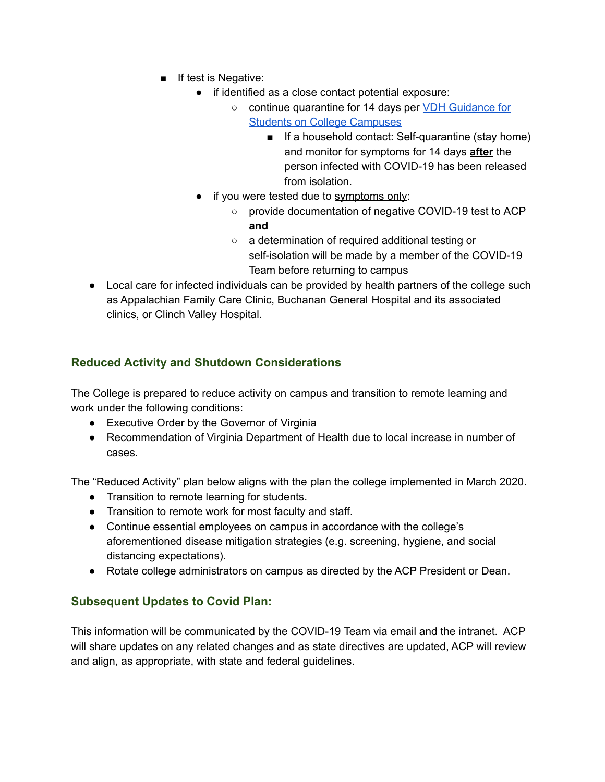- If test is Negative:
	- if identified as a close contact potential exposure:
		- continue quarantine for 14 days per VDH [Guidance](https://www.vdh.virginia.gov/content/uploads/sites/182/2020/09/Guidance-for-College-Students_Final.pdf) for Students on College [Campuses](https://www.vdh.virginia.gov/content/uploads/sites/182/2020/09/Guidance-for-College-Students_Final.pdf)
			- If a household contact: Self-quarantine (stay home) and monitor for symptoms for 14 days **after** the person infected with COVID-19 has been released from isolation.
	- if you were tested due to symptoms only:
		- provide documentation of negative COVID-19 test to ACP **and**
		- a determination of required additional testing or self-isolation will be made by a member of the COVID-19 Team before returning to campus
- Local care for infected individuals can be provided by health partners of the college such as Appalachian Family Care Clinic, Buchanan General Hospital and its associated clinics, or Clinch Valley Hospital.

## **Reduced Activity and Shutdown Considerations**

The College is prepared to reduce activity on campus and transition to remote learning and work under the following conditions:

- Executive Order by the Governor of Virginia
- Recommendation of Virginia Department of Health due to local increase in number of cases.

The "Reduced Activity" plan below aligns with the plan the college implemented in March 2020.

- Transition to remote learning for students.
- Transition to remote work for most faculty and staff.
- Continue essential employees on campus in accordance with the college's aforementioned disease mitigation strategies (e.g. screening, hygiene, and social distancing expectations).
- Rotate college administrators on campus as directed by the ACP President or Dean.

## **Subsequent Updates to Covid Plan:**

This information will be communicated by the COVID-19 Team via email and the intranet. ACP will share updates on any related changes and as state directives are updated, ACP will review and align, as appropriate, with state and federal guidelines.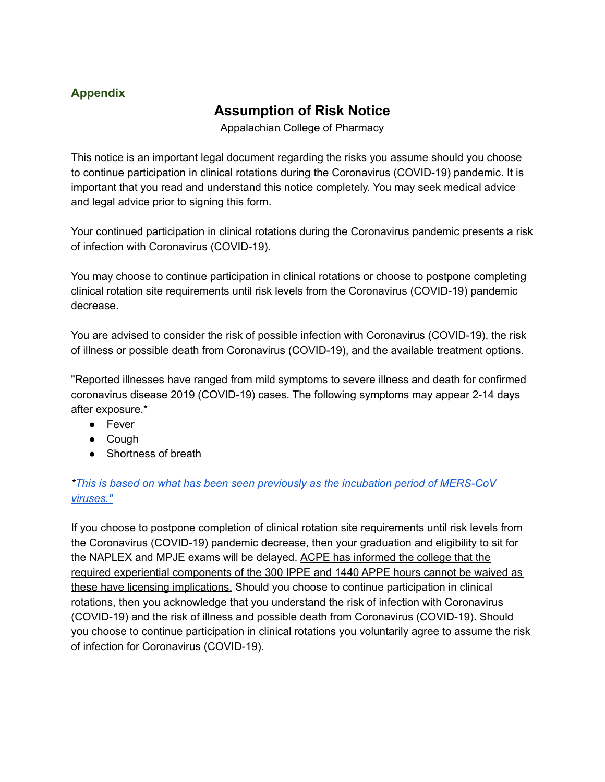## **Appendix**

# **Assumption of Risk Notice**

Appalachian College of Pharmacy

This notice is an important legal document regarding the risks you assume should you choose to continue participation in clinical rotations during the Coronavirus (COVID-19) pandemic. It is important that you read and understand this notice completely. You may seek medical advice and legal advice prior to signing this form.

Your continued participation in clinical rotations during the Coronavirus pandemic presents a risk of infection with Coronavirus (COVID-19).

You may choose to continue participation in clinical rotations or choose to postpone completing clinical rotation site requirements until risk levels from the Coronavirus (COVID-19) pandemic decrease.

You are advised to consider the risk of possible infection with Coronavirus (COVID-19), the risk of illness or possible death from Coronavirus (COVID-19), and the available treatment options.

"Reported illnesses have ranged from mild symptoms to severe illness and death for confirmed coronavirus disease 2019 (COVID-19) cases. The following symptoms may appear 2-14 days after exposure.\*

- Fever
- Cough
- Shortness of breath

## *\*This is based on what has been seen previously as the incubation period of [MERS-CoV](https://www.cdc.gov/coronavirus/2019-ncov/symptoms-testing/symptoms.html?CDC_AA_refVal=https%3A%2F%2Fwww.cdc.gov%2Fcoronavirus%2F2019-ncov%2Fabout%2Fsymptoms.html) [viruses."](https://www.cdc.gov/coronavirus/2019-ncov/symptoms-testing/symptoms.html?CDC_AA_refVal=https%3A%2F%2Fwww.cdc.gov%2Fcoronavirus%2F2019-ncov%2Fabout%2Fsymptoms.html)*

If you choose to postpone completion of clinical rotation site requirements until risk levels from the Coronavirus (COVID-19) pandemic decrease, then your graduation and eligibility to sit for the NAPLEX and MPJE exams will be delayed. ACPE has informed the college that the required experiential components of the 300 IPPE and 1440 APPE hours cannot be waived as these have licensing implications. Should you choose to continue participation in clinical rotations, then you acknowledge that you understand the risk of infection with Coronavirus (COVID-19) and the risk of illness and possible death from Coronavirus (COVID-19). Should you choose to continue participation in clinical rotations you voluntarily agree to assume the risk of infection for Coronavirus (COVID-19).